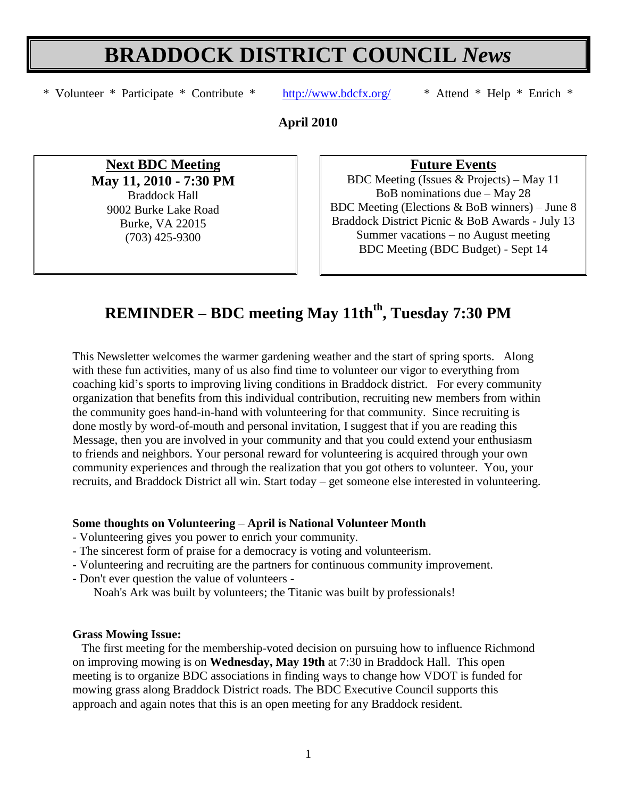# **BRADDOCK DISTRICT COUNCIL** *News*

\* Volunteer \* Participate \* Contribute \* <http://www.bdcfx.org/>\* Attend \* Help \* Enrich \*

**April 2010**

**Next BDC Meeting May 11, 2010 - 7:30 PM** Braddock Hall 9002 Burke Lake Road Burke, VA 22015 (703) 425-9300

**Future Events**

BDC Meeting (Issues & Projects) – May 11 BoB nominations due – May 28 BDC Meeting (Elections & BoB winners) – June 8 Braddock District Picnic & BoB Awards - July 13 Summer vacations – no August meeting BDC Meeting (BDC Budget) - Sept 14

# **REMINDER – BDC meeting May 11thth , Tuesday 7:30 PM**

This Newsletter welcomes the warmer gardening weather and the start of spring sports. Along with these fun activities, many of us also find time to volunteer our vigor to everything from coaching kid's sports to improving living conditions in Braddock district. For every community organization that benefits from this individual contribution, recruiting new members from within the community goes hand-in-hand with volunteering for that community. Since recruiting is done mostly by word-of-mouth and personal invitation, I suggest that if you are reading this Message, then you are involved in your community and that you could extend your enthusiasm to friends and neighbors. Your personal reward for volunteering is acquired through your own community experiences and through the realization that you got others to volunteer. You, your recruits, and Braddock District all win. Start today – get someone else interested in volunteering.

#### **Some thoughts on Volunteering** – **April is National Volunteer Month**

- Volunteering gives you power to enrich your community.
- The sincerest form of praise for a democracy is voting and volunteerism.
- Volunteering and recruiting are the partners for continuous community improvement.
- **-** Don't ever question the value of volunteers -

Noah's Ark was built by volunteers; the Titanic was built by professionals!

#### **Grass Mowing Issue:**

The first meeting for the membership-voted decision on pursuing how to influence Richmond on improving mowing is on **Wednesday, May 19th** at 7:30 in Braddock Hall. This open meeting is to organize BDC associations in finding ways to change how VDOT is funded for mowing grass along Braddock District roads. The BDC Executive Council supports this approach and again notes that this is an open meeting for any Braddock resident.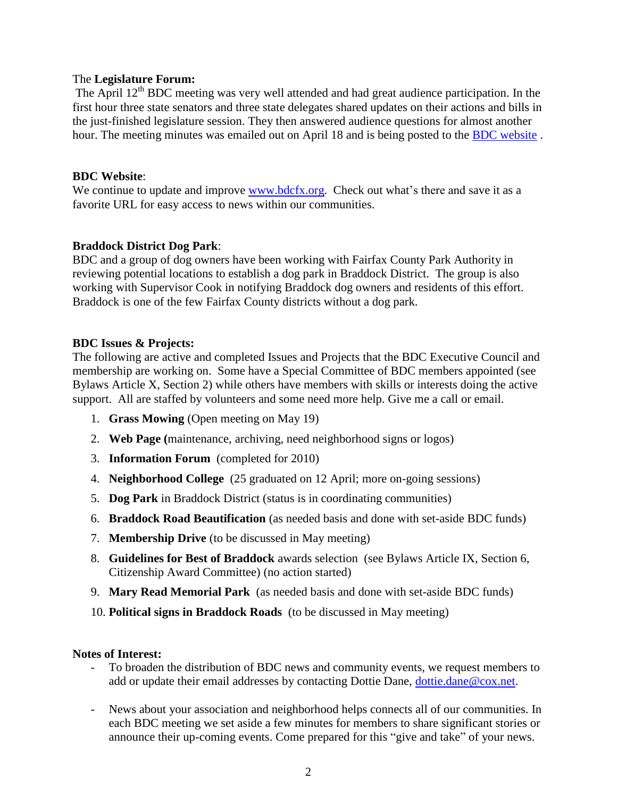#### The **Legislature Forum:**

The April 12<sup>th</sup> BDC meeting was very well attended and had great audience participation. In the first hour three state senators and three state delegates shared updates on their actions and bills in the just-finished legislature session. They then answered audience questions for almost another hour. The meeting minutes was emailed out on April 18 and is being posted to the [BDC website](http://www.bdcfx.org/home/meeting-minutes).

#### **BDC Website**:

We continue to update and improve [www.bdcfx.org.](http://www.bdcfx.org/) Check out what's there and save it as a favorite URL for easy access to news within our communities.

#### **Braddock District Dog Park**:

BDC and a group of dog owners have been working with Fairfax County Park Authority in reviewing potential locations to establish a dog park in Braddock District. The group is also working with Supervisor Cook in notifying Braddock dog owners and residents of this effort. Braddock is one of the few Fairfax County districts without a dog park.

#### **BDC Issues & Projects:**

The following are active and completed Issues and Projects that the BDC Executive Council and membership are working on. Some have a Special Committee of BDC members appointed (see Bylaws Article X, Section 2) while others have members with skills or interests doing the active support. All are staffed by volunteers and some need more help. Give me a call or email.

- 1. **Grass Mowing** (Open meeting on May 19)
- 2. **Web Page (**maintenance, archiving, need neighborhood signs or logos)
- 3. **Information Forum** (completed for 2010)
- 4. **Neighborhood College** (25 graduated on 12 April; more on-going sessions)
- 5. **Dog Park** in Braddock District (status is in coordinating communities)
- 6. **Braddock Road Beautification** (as needed basis and done with set-aside BDC funds)
- 7. **Membership Drive** (to be discussed in May meeting)
- 8. **Guidelines for Best of Braddock** awards selection (see Bylaws Article IX, Section 6, Citizenship Award Committee) (no action started)
- 9. **Mary Read Memorial Park** (as needed basis and done with set-aside BDC funds)
- 10. **Political signs in Braddock Roads** (to be discussed in May meeting)

#### **Notes of Interest:**

- To broaden the distribution of BDC news and community events, we request members to add or update their email addresses by contacting Dottie Dane, [dottie.dane@cox.net.](mailto:dottie.dane@cox.net)
- News about your association and neighborhood helps connects all of our communities. In each BDC meeting we set aside a few minutes for members to share significant stories or announce their up-coming events. Come prepared for this "give and take" of your news.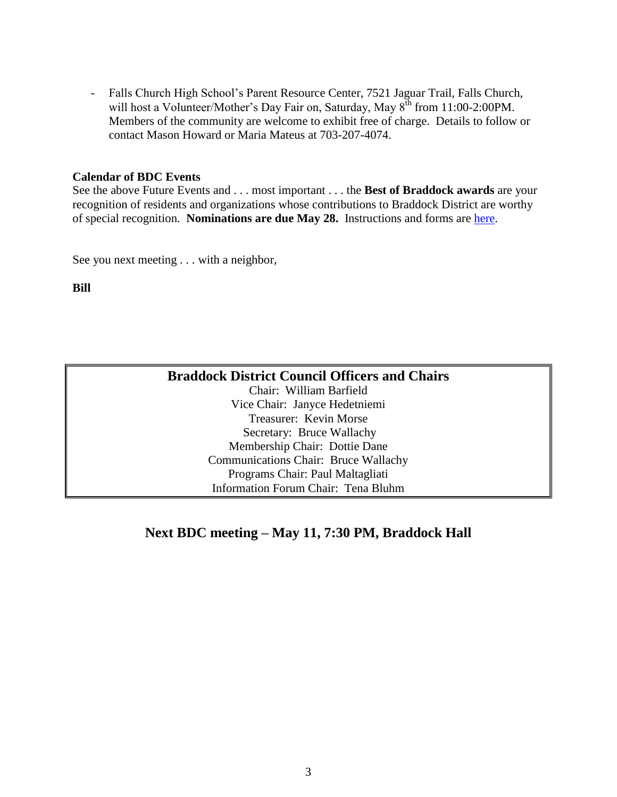- Falls Church High School's Parent Resource Center, 7521 Jaguar Trail, Falls Church, will host a Volunteer/Mother's Day Fair on, Saturday, May  $8^{th}$  from 11:00-2:00PM. Members of the community are welcome to exhibit free of charge. Details to follow or contact Mason Howard or Maria Mateus at 703-207-4074.

#### **Calendar of BDC Events**

See the above Future Events and . . . most important . . . the **Best of Braddock awards** are your recognition of residents and organizations whose contributions to Braddock District are worthy of special recognition. **Nominations are due May 28.** Instructions and forms are [here.](http://www.bdcfx.org/home/committees/citizenship-awards-committee)

See you next meeting . . . with a neighbor,

**Bill**

| <b>Braddock District Council Officers and Chairs</b> |
|------------------------------------------------------|
| Chair: William Barfield                              |
| Vice Chair: Janyce Hedetniemi                        |
| Treasurer: Kevin Morse                               |
| Secretary: Bruce Wallachy                            |
| Membership Chair: Dottie Dane                        |
| <b>Communications Chair: Bruce Wallachy</b>          |
| Programs Chair: Paul Maltagliati                     |
| Information Forum Chair: Tena Bluhm                  |

## **Next BDC meeting – May 11, 7:30 PM, Braddock Hall**